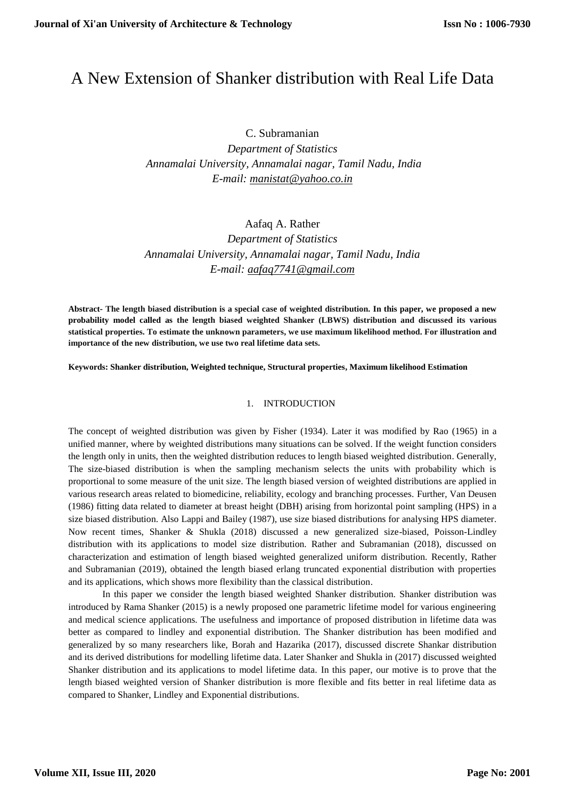# A New Extension of Shanker distribution with Real Life Data

C. Subramanian

*Department of Statistics Annamalai University, Annamalai nagar, Tamil Nadu, India E-mail: [manistat@yahoo.co.in](mailto:manistat@yahoo.co.in)*

Aafaq A. Rather

*Department of Statistics Annamalai University, Annamalai nagar, Tamil Nadu, India E-mail: [aafaq7741@gmail.com](mailto:aafaq7741@gmail.com)*

**Abstract- The length biased distribution is a special case of weighted distribution. In this paper, we proposed a new probability model called as the length biased weighted Shanker (LBWS) distribution and discussed its various statistical properties. To estimate the unknown parameters, we use maximum likelihood method. For illustration and importance of the new distribution, we use two real lifetime data sets.**

**Keywords: Shanker distribution, Weighted technique, Structural properties, Maximum likelihood Estimation**

## 1. INTRODUCTION

The concept of weighted distribution was given by Fisher (1934). Later it was modified by Rao (1965) in a unified manner, where by weighted distributions many situations can be solved. If the weight function considers the length only in units, then the weighted distribution reduces to length biased weighted distribution. Generally, The size-biased distribution is when the sampling mechanism selects the units with probability which is proportional to some measure of the unit size. The length biased version of weighted distributions are applied in various research areas related to biomedicine, reliability, ecology and branching processes. Further, Van Deusen (1986) fitting data related to diameter at breast height (DBH) arising from horizontal point sampling (HPS) in a size biased distribution. Also Lappi and Bailey (1987), use size biased distributions for analysing HPS diameter. Now recent times, Shanker & Shukla (2018) discussed a new generalized size-biased, Poisson-Lindley distribution with its applications to model size distribution. Rather and Subramanian (2018), discussed on characterization and estimation of length biased weighted generalized uniform distribution. Recently, Rather and Subramanian (2019), obtained the length biased erlang truncated exponential distribution with properties and its applications, which shows more flexibility than the classical distribution.

In this paper we consider the length biased weighted Shanker distribution. Shanker distribution was introduced by Rama Shanker (2015) is a newly proposed one parametric lifetime model for various engineering and medical science applications. The usefulness and importance of proposed distribution in lifetime data was better as compared to lindley and exponential distribution. The Shanker distribution has been modified and generalized by so many researchers like, Borah and Hazarika (2017), discussed discrete Shankar distribution and its derived distributions for modelling lifetime data. Later Shanker and Shukla in (2017) discussed weighted Shanker distribution and its applications to model lifetime data. In this paper, our motive is to prove that the length biased weighted version of Shanker distribution is more flexible and fits better in real lifetime data as compared to Shanker, Lindley and Exponential distributions.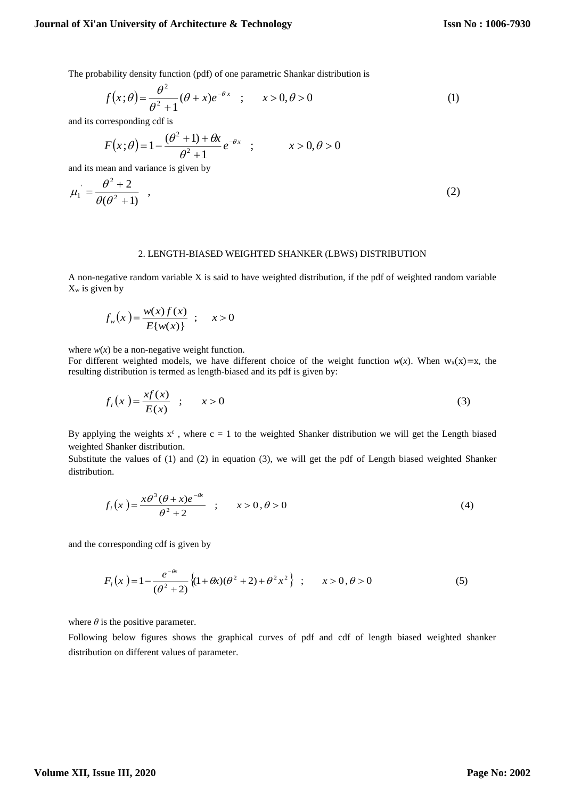The probability density function (pdf) of one parametric Shankar distribution is

$$
f(x; \theta) = \frac{\theta^2}{\theta^2 + 1} (\theta + x) e^{-\theta x} \quad ; \qquad x > 0, \theta > 0 \tag{1}
$$

and its corresponding cdf is

$$
F(x; \theta) = 1 - \frac{(\theta^2 + 1) + \theta x}{\theta^2 + 1} e^{-\theta x} \quad ; \qquad x > 0, \theta > 0
$$

and its mean and variance is given by

$$
\mu_1 = \frac{\theta^2 + 2}{\theta(\theta^2 + 1)} \quad , \tag{2}
$$

## 2. LENGTH-BIASED WEIGHTED SHANKER (LBWS) DISTRIBUTION

A non-negative random variable X is said to have weighted distribution, if the pdf of weighted random variable  $X_w$  is given by

$$
f_w(x) = \frac{w(x)f(x)}{E\{w(x)\}} \; ; \quad x > 0
$$

where  $w(x)$  be a non-negative weight function.

For different weighted models, we have different choice of the weight function  $w(x)$ . When  $w_x(x)=x$ , the resulting distribution is termed as length-biased and its pdf is given by:

$$
f_l(x) = \frac{x f(x)}{E(x)} \quad ; \qquad x > 0 \tag{3}
$$

By applying the weights  $x^c$ , where  $c = 1$  to the weighted Shanker distribution we will get the Length biased weighted Shanker distribution.

Substitute the values of (1) and (2) in equation (3), we will get the pdf of Length biased weighted Shanker distribution.

$$
f_1(x) = \frac{x\theta^3(\theta + x)e^{-\theta x}}{\theta^2 + 2} \quad ; \qquad x > 0, \theta > 0 \tag{4}
$$

and the corresponding cdf is given by

$$
F_1(x) = 1 - \frac{e^{-\theta x}}{(\theta^2 + 2)} \left\{ (1 + \theta x)(\theta^2 + 2) + \theta^2 x^2 \right\} ; \qquad x > 0, \theta > 0
$$
 (5)

where  $\theta$  is the positive parameter.

Following below figures shows the graphical curves of pdf and cdf of length biased weighted shanker distribution on different values of parameter.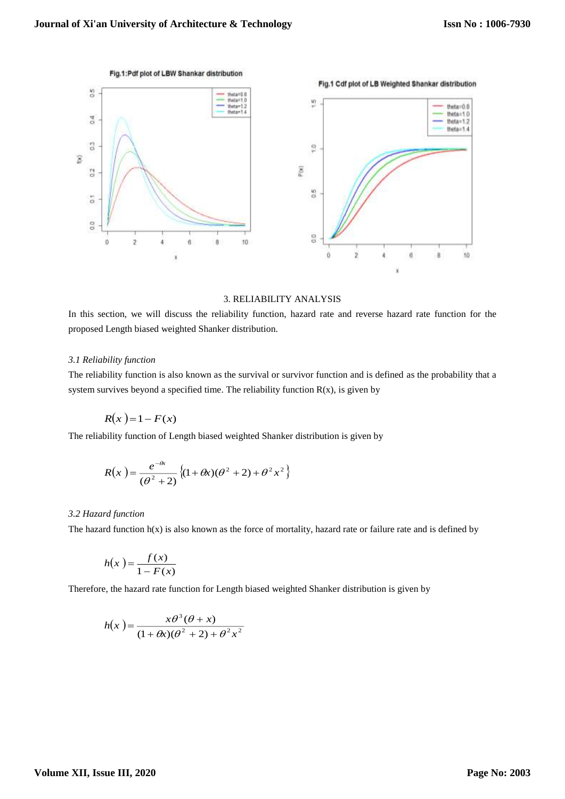

## 3. RELIABILITY ANALYSIS

In this section, we will discuss the reliability function, hazard rate and reverse hazard rate function for the proposed Length biased weighted Shanker distribution.

#### *3.1 Reliability function*

The reliability function is also known as the survival or survivor function and is defined as the probability that a system survives beyond a specified time. The reliability function  $R(x)$ , is given by

$$
R(x) = 1 - F(x)
$$

The reliability function of Length biased weighted Shanker distribution is given by

$$
R(x) = \frac{e^{-\theta x}}{(\theta^2 + 2)} \{ (1 + \theta x)(\theta^2 + 2) + \theta^2 x^2 \}
$$

#### *3.2 Hazard function*

The hazard function  $h(x)$  is also known as the force of mortality, hazard rate or failure rate and is defined by

$$
h(x) = \frac{f(x)}{1 - F(x)}
$$

Therefore, the hazard rate function for Length biased weighted Shanker distribution is given by

$$
h(x) = \frac{x\theta^3(\theta + x)}{(1 + \theta x)(\theta^2 + 2) + \theta^2 x^2}
$$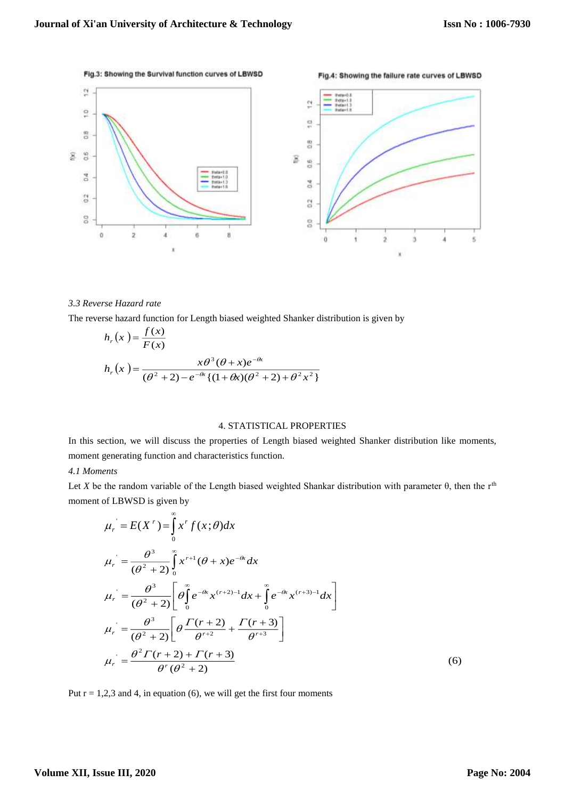

## *3.3 Reverse Hazard rate*

The reverse hazard function for Length biased weighted Shanker distribution is given by

$$
h_r(x) = \frac{f(x)}{F(x)}
$$
  

$$
h_r(x) = \frac{x\theta^3(\theta + x)e^{-\theta x}}{(\theta^2 + 2) - e^{-\theta x} \{(1 + \theta x)(\theta^2 + 2) + \theta^2 x^2\}}
$$

#### 4. STATISTICAL PROPERTIES

In this section, we will discuss the properties of Length biased weighted Shanker distribution like moments, moment generating function and characteristics function.

#### *4.1 Moments*

Let *X* be the random variable of the Length biased weighted Shankar distribution with parameter  $\theta$ , then the r<sup>th</sup> moment of LBWSD is given by

$$
\mu_r = E(X^r) = \int_0^{\infty} x^r f(x; \theta) dx
$$
  
\n
$$
\mu_r = \frac{\theta^3}{(\theta^2 + 2)} \int_0^{\infty} x^{r+1} (\theta + x) e^{-\theta x} dx
$$
  
\n
$$
\mu_r = \frac{\theta^3}{(\theta^2 + 2)} \left[ \theta \int_0^{\infty} e^{-\theta x} x^{(r+2)-1} dx + \int_0^{\infty} e^{-\theta x} x^{(r+3)-1} dx \right]
$$
  
\n
$$
\mu_r = \frac{\theta^3}{(\theta^2 + 2)} \left[ \theta \frac{\Gamma(r+2)}{\theta^{r+2}} + \frac{\Gamma(r+3)}{\theta^{r+3}} \right]
$$
  
\n
$$
\mu_r = \frac{\theta^2 \Gamma(r+2) + \Gamma(r+3)}{\theta^r (\theta^2 + 2)}
$$
\n(6)

Put  $r = 1,2,3$  and 4, in equation (6), we will get the first four moments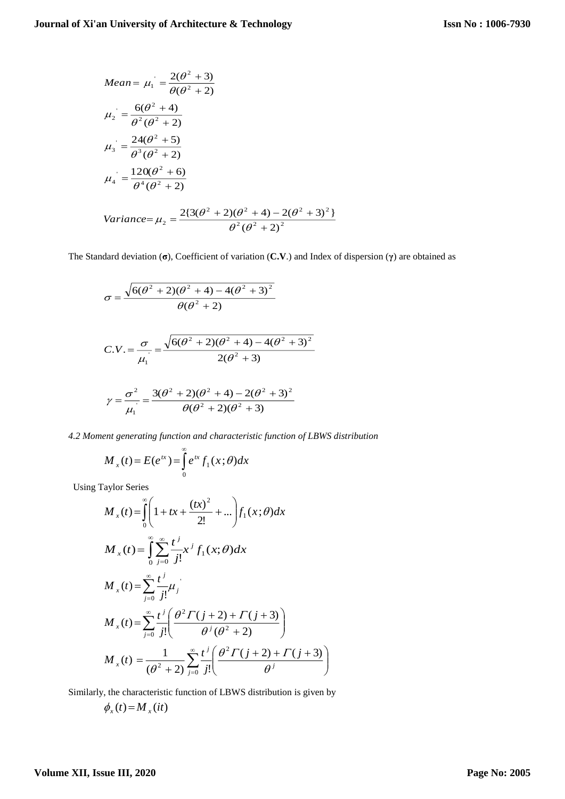Mean = 
$$
\mu_1 = \frac{2(\theta^2 + 3)}{\theta(\theta^2 + 2)}
$$
  
\n
$$
\mu_2 = \frac{6(\theta^2 + 4)}{\theta^2(\theta^2 + 2)}
$$
\n
$$
\mu_3 = \frac{24(\theta^2 + 5)}{\theta^3(\theta^2 + 2)}
$$
\n
$$
\mu_4 = \frac{120(\theta^2 + 6)}{\theta^4(\theta^2 + 2)}
$$
\nVariance =  $\mu_2 = \frac{2\{3(\theta^2 + 2)(\theta^2 + 4) - 2(\theta^2 + 3)^2\}}{\theta^2(\theta^2 + 2)^2}$ 

The Standard deviation (**σ**), Coefficient of variation (**C.V**.) and Index of dispersion (**γ**) are obtained as

$$
\sigma = \frac{\sqrt{6(\theta^2 + 2)(\theta^2 + 4) - 4(\theta^2 + 3)^2}}{\theta(\theta^2 + 2)}
$$
  
\nC.V. =  $\frac{\sigma}{\mu_1} = \frac{\sqrt{6(\theta^2 + 2)(\theta^2 + 4) - 4(\theta^2 + 3)^2}}{2(\theta^2 + 3)}$   
\n
$$
\gamma = \frac{\sigma^2}{\mu_1} = \frac{3(\theta^2 + 2)(\theta^2 + 4) - 2(\theta^2 + 3)^2}{\theta(\theta^2 + 2)(\theta^2 + 3)}
$$

*4.2 Moment generating function and characteristic function of LBWS distribution*

$$
M_{x}(t) = E(e^{tx}) = \int_{0}^{\infty} e^{tx} f_{1}(x;\theta) dx
$$

Using Taylor Series

$$
M_{x}(t) = \int_{0}^{\infty} \left(1 + tx + \frac{(tx)^{2}}{2!} + ...\right) f_{1}(x; \theta) dx
$$
  
\n
$$
M_{x}(t) = \int_{0}^{\infty} \sum_{j=0}^{\infty} \frac{t^{j}}{j!} x^{j} f_{1}(x; \theta) dx
$$
  
\n
$$
M_{x}(t) = \sum_{j=0}^{\infty} \frac{t^{j}}{j!} \mu_{j}
$$
  
\n
$$
M_{x}(t) = \sum_{j=0}^{\infty} \frac{t^{j}}{j!} \left(\frac{\theta^{2} \Gamma(j+2) + \Gamma(j+3)}{\theta^{j} (\theta^{2} + 2)}\right)
$$
  
\n
$$
M_{x}(t) = \frac{1}{(\theta^{2} + 2)} \sum_{j=0}^{\infty} \frac{t^{j}}{j!} \left(\frac{\theta^{2} \Gamma(j+2) + \Gamma(j+3)}{\theta^{j}}\right)
$$

Similarly, the characteristic function of LBWS distribution is given by

$$
\phi_x(t) = M_x(it)
$$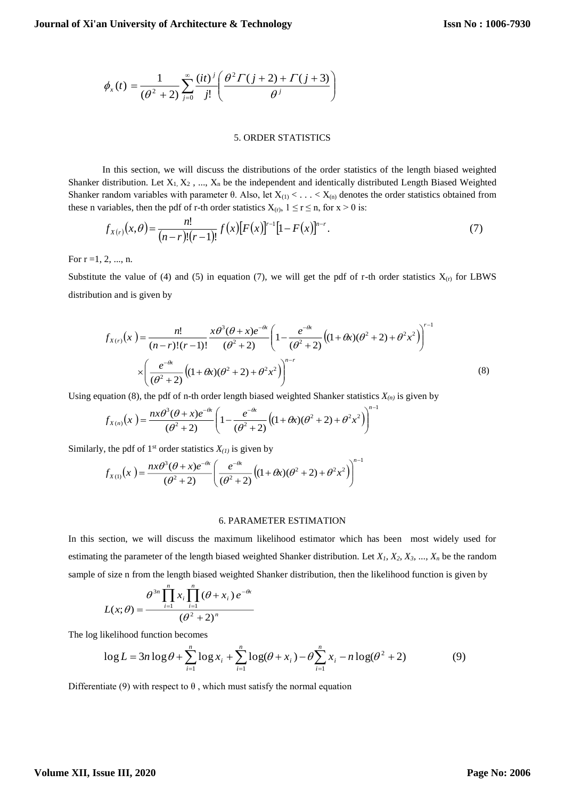$$
\phi_x(t) = \frac{1}{(\theta^2 + 2)} \sum_{j=0}^{\infty} \frac{(it)^j}{j!} \left( \frac{\theta^2 \Gamma(j+2) + \Gamma(j+3)}{\theta^j} \right)
$$

#### 5. ORDER STATISTICS

In this section, we will discuss the distributions of the order statistics of the length biased weighted Shanker distribution. Let  $X_1, X_2, ..., X_n$  be the independent and identically distributed Length Biased Weighted Shanker random variables with parameter  $\theta$ . Also, let  $X_{(1)} < \ldots < X_{(n)}$  denotes the order statistics obtained from these n variables, then the pdf of r-th order statistics  $X_{(r)}$ ,  $1 \le r \le n$ , for  $x > 0$  is:

$$
f_{X(r)}(x,\theta) = \frac{n!}{(n-r)!(r-1)!} f(x)[F(x)]^{r-1} [1 - F(x)]^{n-r}.
$$
\n(7)

For  $r = 1, 2, ..., n$ .

Substitute the value of (4) and (5) in equation (7), we will get the pdf of r-th order statistics  $X_{(r)}$  for LBWS distribution and is given by

$$
f_{X(r)}(x) = \frac{n!}{(n-r)!(r-1)!} \frac{x\theta^3(\theta+x)e^{-\theta x}}{(\theta^2+2)} \left(1 - \frac{e^{-\theta x}}{(\theta^2+2)}\left((1+\theta x)(\theta^2+2) + \theta^2 x^2\right)\right)^{r-1}
$$
  
 
$$
\times \left(\frac{e^{-\theta x}}{(\theta^2+2)}\left((1+\theta x)(\theta^2+2) + \theta^2 x^2\right)\right)^{n-r}
$$
(8)

1

Using equation (8), the pdf of n-th order length biased weighted Shanker statistics  $X_{(n)}$  is given by

$$
f_{X(n)}(x) = \frac{n x \theta^3 (\theta + x) e^{-\theta x}}{(\theta^2 + 2)} \left(1 - \frac{e^{-\theta x}}{(\theta^2 + 2)} \left((1 + \theta x)(\theta^2 + 2) + \theta^2 x^2\right)\right)^n
$$

Similarly, the pdf of 1<sup>st</sup> order statistics  $X_{(1)}$  is given by

$$
f_{X(1)}(x) = \frac{n x \theta^3 (\theta + x) e^{-\theta x}}{(\theta^2 + 2)} \left( \frac{e^{-\theta x}}{(\theta^2 + 2)} \left( (1 + \theta x) (\theta^2 + 2) + \theta^2 x^2 \right) \right)^{n-1}
$$

### 6. PARAMETER ESTIMATION

In this section, we will discuss the maximum likelihood estimator which has been most widely used for estimating the parameter of the length biased weighted Shanker distribution. Let *X1, X2, X3, ..., X<sup>n</sup>* be the random sample of size n from the length biased weighted Shanker distribution, then the likelihood function is given by

$$
L(x; \theta) = \frac{\theta^{3n} \prod_{i=1}^{n} x_i \prod_{i=1}^{n} (\theta + x_i) e^{-\theta x}}{(\theta^2 + 2)^n}
$$

The log likelihood function becomes

$$
\log L = 3n \log \theta + \sum_{i=1}^{n} \log x_i + \sum_{i=1}^{n} \log(\theta + x_i) - \theta \sum_{i=1}^{n} x_i - n \log(\theta^2 + 2)
$$
(9)

Differentiate (9) with respect to  $\theta$ , which must satisfy the normal equation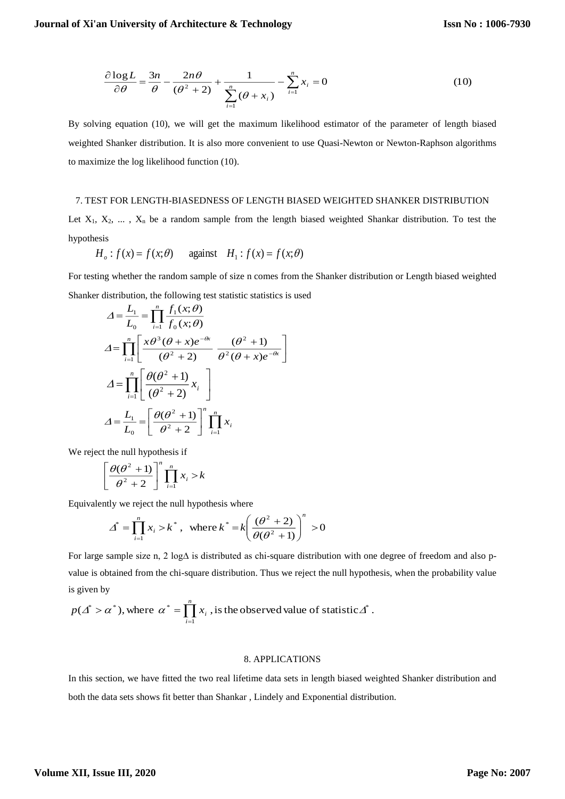$$
\frac{\partial \log L}{\partial \theta} = \frac{3n}{\theta} - \frac{2n\theta}{(\theta^2 + 2)} + \frac{1}{\sum_{i=1}^n (\theta + x_i)} - \sum_{i=1}^n x_i = 0
$$
\n(10)

By solving equation (10), we will get the maximum likelihood estimator of the parameter of length biased weighted Shanker distribution. It is also more convenient to use Quasi-Newton or Newton-Raphson algorithms to maximize the log likelihood function (10).

#### 7. TEST FOR LENGTH-BIASEDNESS OF LENGTH BIASED WEIGHTED SHANKER DISTRIBUTION

Let  $X_1, X_2, \ldots, X_n$  be a random sample from the length biased weighted Shankar distribution. To test the hypothesis

$$
H_o
$$
:  $f(x) = f(x; \theta)$  against  $H_1$ :  $f(x) = f(x; \theta)$ 

For testing whether the random sample of size n comes from the Shanker distribution or Length biased weighted Shanker distribution, the following test statistic statistics is used

$$
\Delta = \frac{L_1}{L_0} = \prod_{i=1}^n \frac{f_1(x;\theta)}{f_0(x;\theta)}
$$
\n
$$
\Delta = \prod_{i=1}^n \left[ \frac{x\theta^3(\theta + x)e^{-\theta x}}{(\theta^2 + 2)} \frac{(\theta^2 + 1)}{\theta^2(\theta + x)e^{-\theta x}} \right]
$$
\n
$$
\Delta = \prod_{i=1}^n \left[ \frac{\theta(\theta^2 + 1)}{(\theta^2 + 2)} x_i \right]
$$
\n
$$
\Delta = \frac{L_1}{L_0} = \left[ \frac{\theta(\theta^2 + 1)}{\theta^2 + 2} \right] \prod_{i=1}^n x_i
$$

We reject the null hypothesis if

$$
\left[\frac{\theta(\theta^2+1)}{\theta^2+2}\right]^n \prod_{i=1}^n x_i > k
$$

Equivalently we reject the null hypothesis where

$$
\Delta^* = \prod_{i=1}^n x_i > k^*, \text{ where } k^* = k \left( \frac{(\theta^2 + 2)}{\theta(\theta^2 + 1)} \right)^n > 0
$$

For large sample size n, 2 log∆ is distributed as chi-square distribution with one degree of freedom and also pvalue is obtained from the chi-square distribution. Thus we reject the null hypothesis, when the probability value is given by

$$
p(\Delta^* > \alpha^*)
$$
, where  $\alpha^* = \prod_{i=1}^n x_i$ , is the observed value of statistic  $\Delta^*$ .

## 8. APPLICATIONS

In this section, we have fitted the two real lifetime data sets in length biased weighted Shanker distribution and both the data sets shows fit better than Shankar , Lindely and Exponential distribution.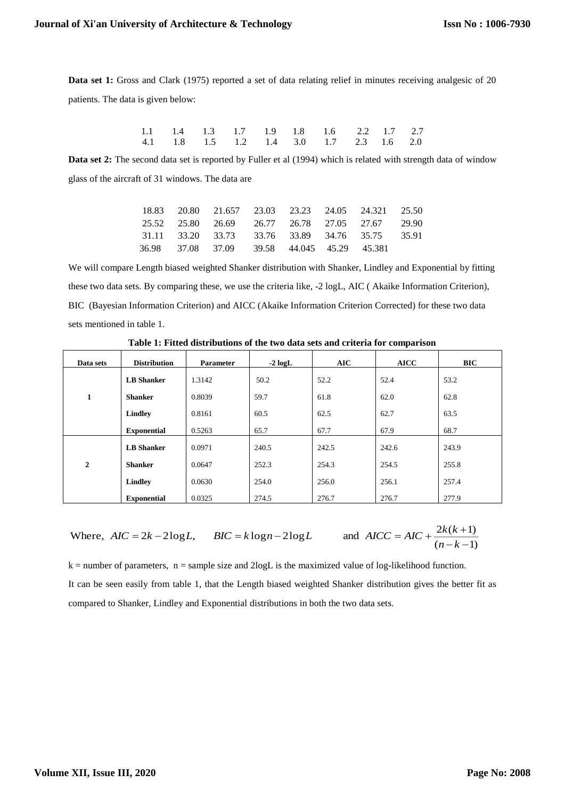**Data set 1:** Gross and Clark (1975) reported a set of data relating relief in minutes receiving analgesic of 20 patients. The data is given below:

|  |  |  | 1.1 1.4 1.3 1.7 1.9 1.8 1.6 2.2 1.7 2.7 |  |  |
|--|--|--|-----------------------------------------|--|--|
|  |  |  | 4.1 1.8 1.5 1.2 1.4 3.0 1.7 2.3 1.6 2.0 |  |  |

**Data set 2:** The second data set is reported by Fuller et al (1994) which is related with strength data of window glass of the aircraft of 31 windows. The data are

|  | 18.83 20.80 21.657 23.03 23.23 24.05 24.321 25.50 |  |  |  |
|--|---------------------------------------------------|--|--|--|
|  | 25.52 25.80 26.69 26.77 26.78 27.05 27.67 29.90   |  |  |  |
|  | 31.11 33.20 33.73 33.76 33.89 34.76 35.75 35.91   |  |  |  |
|  | 36.98 37.08 37.09 39.58 44.045 45.29 45.381       |  |  |  |

We will compare Length biased weighted Shanker distribution with Shanker, Lindley and Exponential by fitting these two data sets. By comparing these, we use the criteria like, -2 logL, AIC ( Akaike Information Criterion), BIC (Bayesian Information Criterion) and AICC (Akaike Information Criterion Corrected) for these two data sets mentioned in table 1.

| Data sets        | <b>Distribution</b> | <b>Parameter</b> | $-2 log L$ | AIC   | <b>AICC</b> | <b>BIC</b> |
|------------------|---------------------|------------------|------------|-------|-------------|------------|
|                  | <b>LB</b> Shanker   | 1.3142           | 50.2       | 52.2  | 52.4        | 53.2       |
| $\mathbf{1}$     | <b>Shanker</b>      | 0.8039           | 59.7       | 61.8  | 62.0        | 62.8       |
|                  | Lindley             | 0.8161           | 60.5       | 62.5  | 62.7        | 63.5       |
|                  | <b>Exponential</b>  | 0.5263           | 65.7       | 67.7  | 67.9        | 68.7       |
|                  | <b>LB</b> Shanker   | 0.0971           | 240.5      | 242.5 | 242.6       | 243.9      |
| $\boldsymbol{2}$ | <b>Shanker</b>      | 0.0647           | 252.3      | 254.3 | 254.5       | 255.8      |
|                  | Lindley             | 0.0630           | 254.0      | 256.0 | 256.1       | 257.4      |
|                  | <b>Exponential</b>  | 0.0325           | 274.5      | 276.7 | 276.7       | 277.9      |

**Table 1: Fitted distributions of the two data sets and criteria for comparison**

Where, 
$$
AIC = 2k - 2\log L
$$
,  $BIC = k\log n - 2\log L$  and  $AICC = AIC + \frac{2k(k+1)}{(n-k-1)}$ 

 $k =$  number of parameters,  $n =$  sample size and 2logL is the maximized value of log-likelihood function. It can be seen easily from table 1, that the Length biased weighted Shanker distribution gives the better fit as compared to Shanker, Lindley and Exponential distributions in both the two data sets.